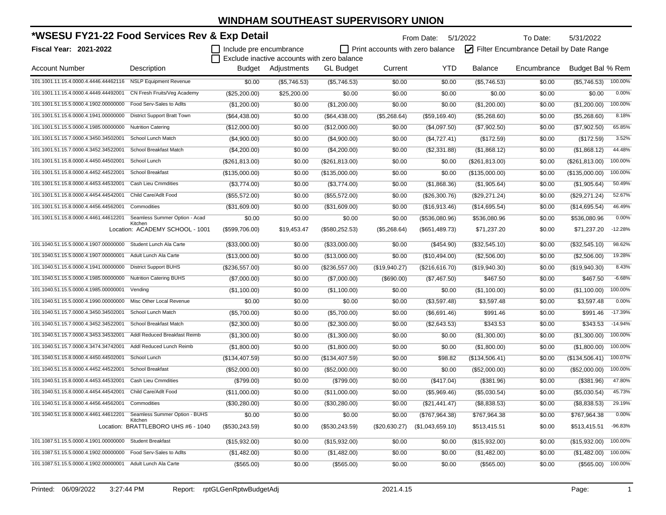| *WSESU FY21-22 Food Services Rev & Exp Detail                       |                                                |                         | To Date:<br>From Date: 5/1/2022             |                  |                                         |                  |                                         | 5/31/2022   |                  |           |
|---------------------------------------------------------------------|------------------------------------------------|-------------------------|---------------------------------------------|------------------|-----------------------------------------|------------------|-----------------------------------------|-------------|------------------|-----------|
| Fiscal Year: 2021-2022                                              |                                                | Include pre encumbrance |                                             |                  | $\Box$ Print accounts with zero balance |                  | Filter Encumbrance Detail by Date Range |             |                  |           |
|                                                                     |                                                |                         | Exclude inactive accounts with zero balance |                  |                                         | <b>YTD</b>       |                                         |             |                  |           |
| <b>Account Number</b>                                               | Description                                    |                         | Budget Adjustments                          | <b>GL Budget</b> | Current                                 |                  | Balance                                 | Encumbrance | Budget Bal % Rem |           |
| 101.1001.11.15.4.0000.4.4446.44462116                               | <b>NSLP Equipment Revenue</b>                  | \$0.00                  | (\$5,746.53)                                | (\$5,746.53)     | \$0.00                                  | \$0.00           | (\$5,746.53)                            | \$0.00      | (\$5,746.53)     | 100.00%   |
| 101.1001.11.15.4.0000.4.4449.44492001                               | CN Fresh Fruits/Veg Academy                    | (\$25,200.00)           | \$25,200.00                                 | \$0.00           | \$0.00                                  | \$0.00           | \$0.00                                  | \$0.00      | \$0.00           | 0.00%     |
| 101.1001.51.15.5.0000.4.1902.00000000                               | Food Serv-Sales to Adlts                       | (\$1,200.00)            | \$0.00                                      | (\$1,200.00)     | \$0.00                                  | \$0.00           | (\$1,200.00)                            | \$0.00      | (\$1,200.00)     | 100.00%   |
| 101.1001.51.15.6.0000.4.1941.00000000                               | District Support Bratt Town                    | (\$64,438.00)           | \$0.00                                      | (\$64,438.00)    | (\$5,268.64)                            | (\$59,169.40)    | (\$5,268.60)                            | \$0.00      | (\$5,268.60)     | 8.18%     |
| 101.1001.51.15.5.0000.4.1985.00000000                               | <b>Nutrition Catering</b>                      | (\$12,000.00)           | \$0.00                                      | (\$12,000.00)    | \$0.00                                  | (\$4,097.50)     | (\$7,902.50)                            | \$0.00      | (\$7,902.50)     | 65.85%    |
| 101.1001.51.15.7.0000.4.3450.34502001                               | School Lunch Match                             | (\$4,900.00)            | \$0.00                                      | (\$4,900.00)     | \$0.00                                  | (\$4,727.41)     | (\$172.59)                              | \$0.00      | (\$172.59)       | 3.52%     |
| 101.1001.51.15.7.0000.4.3452.34522001                               | School Breakfast Match                         | (\$4,200.00)            | \$0.00                                      | (\$4,200.00)     | \$0.00                                  | (\$2,331.88)     | (\$1,868.12)                            | \$0.00      | (\$1,868.12)     | 44.48%    |
| 101.1001.51.15.8.0000.4.4450.44502001                               | School Lunch                                   | (\$261, 813.00)         | \$0.00                                      | (\$261, 813.00)  | \$0.00                                  | \$0.00           | (\$261, 813.00)                         | \$0.00      | (\$261, 813.00)  | 100.00%   |
| 101.1001.51.15.8.0000.4.4452.44522001                               | School Breakfast                               | (\$135,000.00)          | \$0.00                                      | (\$135,000.00)   | \$0.00                                  | \$0.00           | (\$135,000.00)                          | \$0.00      | (\$135,000.00)   | 100.00%   |
| 101.1001.51.15.8.0000.4.4453.44532001                               | <b>Cash Lieu Cmmdities</b>                     | (\$3,774.00)            | \$0.00                                      | (\$3,774.00)     | \$0.00                                  | (\$1,868.36)     | (\$1,905.64)                            | \$0.00      | (\$1,905.64)     | 50.49%    |
| 101.1001.51.15.8.0000.4.4454.44542001                               | Child Care/Adlt Food                           | (\$55,572.00)           | \$0.00                                      | (\$55,572.00)    | \$0.00                                  | (\$26,300.76)    | (\$29,271.24)                           | \$0.00      | (\$29,271.24)    | 52.67%    |
| 101.1001.51.15.8.0000.4.4456.44562001                               | Commodities                                    | (\$31,609.00)           | \$0.00                                      | (\$31,609.00)    | \$0.00                                  | (\$16,913.46)    | (\$14,695.54)                           | \$0.00      | (\$14,695.54)    | 46.49%    |
| 101.1001.51.15.8.0000.4.4461.44612201                               | Seamless Summer Option - Acad                  | \$0.00                  | \$0.00                                      | \$0.00           | \$0.00                                  | (\$536,080.96)   | \$536,080.96                            | \$0.00      | \$536,080.96     | 0.00%     |
|                                                                     | Kitchen<br>Location: ACADEMY SCHOOL - 1001     | (\$599,706.00)          | \$19,453.47                                 | (\$580, 252.53)  | (\$5,268.64)                            | (\$651,489.73)   | \$71,237.20                             | \$0.00      | \$71,237.20      | $-12.28%$ |
| 101.1040.51.15.5.0000.4.1907.00000000                               | Student Lunch Ala Carte                        | (\$33,000.00)           | \$0.00                                      | (\$33,000.00)    | \$0.00                                  | $(\$454.90)$     | (\$32,545.10)                           | \$0.00      | (\$32,545.10)    | 98.62%    |
| 101.1040.51.15.5.0000.4.1907.00000001                               | Adult Lunch Ala Carte                          | (\$13,000.00)           | \$0.00                                      | (\$13,000.00)    | \$0.00                                  | (\$10,494.00)    | (\$2,506.00)                            | \$0.00      | (\$2,506.00)     | 19.28%    |
| 101.1040.51.15.6.0000.4.1941.00000000                               | <b>District Support BUHS</b>                   | (\$236,557.00)          | \$0.00                                      | (\$236,557.00)   | (\$19,940.27)                           | (\$216,616.70)   | (\$19,940.30)                           | \$0.00      | (\$19,940.30)    | 8.43%     |
| 101.1040.51.15.5.0000.4.1985.00000000                               | <b>Nutrition Catering BUHS</b>                 | (\$7,000.00)            | \$0.00                                      | (\$7,000.00)     | (\$690.00)                              | (\$7,467.50)     | \$467.50                                | \$0.00      | \$467.50         | $-6.68%$  |
| 101.1040.51.15.5.0000.4.1985.00000001                               | Vending                                        | (\$1,100.00)            | \$0.00                                      | (\$1,100.00)     | \$0.00                                  | \$0.00           | (\$1,100.00)                            | \$0.00      | (\$1,100.00)     | 100.00%   |
| 101.1040.51.15.5.0000.4.1990.00000000                               | Misc Other Local Revenue                       | \$0.00                  | \$0.00                                      | \$0.00           | \$0.00                                  | (\$3,597.48)     | \$3,597.48                              | \$0.00      | \$3,597.48       | 0.00%     |
| 101.1040.51.15.7.0000.4.3450.34502001                               | School Lunch Match                             | (\$5,700.00)            | \$0.00                                      | (\$5,700.00)     | \$0.00                                  | (\$6,691.46)     | \$991.46                                | \$0.00      | \$991.46         | $-17.39%$ |
| 101.1040.51.15.7.0000.4.3452.34522001                               | School Breakfast Match                         | (\$2,300.00)            | \$0.00                                      | (\$2,300.00)     | \$0.00                                  | (\$2,643.53)     | \$343.53                                | \$0.00      | \$343.53         | $-14.94%$ |
| 101.1040.51.15.7.0000.4.3453.34532001                               | Addl Reduced Breakfast Reimb                   | (\$1,300.00)            | \$0.00                                      | (\$1,300.00)     | \$0.00                                  | \$0.00           | (\$1,300.00)                            | \$0.00      | (\$1,300.00)     | 100.00%   |
| 101.1040.51.15.7.0000.4.3474.34742001                               | Addl Reduced Lunch Reimb                       | (\$1,800.00)            | \$0.00                                      | (\$1,800.00)     | \$0.00                                  | \$0.00           | (\$1,800.00)                            | \$0.00      | (\$1,800.00)     | 100.00%   |
| 101.1040.51.15.8.0000.4.4450.44502001                               | School Lunch                                   | (\$134,407.59)          | \$0.00                                      | (\$134,407.59)   | \$0.00                                  | \$98.82          | (\$134,506.41)                          | \$0.00      | (\$134,506.41)   | 100.07%   |
| 101.1040.51.15.8.0000.4.4452.44522001                               | School Breakfast                               | (\$52,000.00)           | \$0.00                                      | (\$52,000.00)    | \$0.00                                  | \$0.00           | (\$52,000.00)                           | \$0.00      | (\$52,000.00)    | 100.00%   |
| 101.1040.51.15.8.0000.4.4453.44532001                               | <b>Cash Lieu Cmmdities</b>                     | (\$799.00)              | \$0.00                                      | (\$799.00)       | \$0.00                                  | (\$417.04)       | (\$381.96)                              | \$0.00      | (\$381.96)       | 47.80%    |
| 101.1040.51.15.8.0000.4.4454.44542001                               | Child Care/Adlt Food                           | (\$11,000.00)           | \$0.00                                      | (\$11,000.00)    | \$0.00                                  | (\$5,969.46)     | (\$5,030.54)                            | \$0.00      | (\$5,030.54)     | 45.73%    |
| 101.1040.51.15.8.0000.4.4456.44562001                               | Commodities                                    | (\$30,280.00)           | \$0.00                                      | (\$30,280.00)    | \$0.00                                  | (\$21,441.47)    | (\$8,838.53)                            | \$0.00      | (\$8,838.53)     | 29.19%    |
| 101.1040.51.15.8.0000.4.4461.44612201 Seamless Summer Option - BUHS |                                                | \$0.00                  | \$0.00                                      | \$0.00           | \$0.00                                  | (\$767,964.38)   | \$767,964.38                            | \$0.00      | \$767,964.38     | 0.00%     |
|                                                                     | Kitchen<br>Location: BRATTLEBORO UHS #6 - 1040 | (\$530, 243.59)         | \$0.00                                      | $(\$530,243.59)$ | (\$20,630.27)                           | (\$1,043,659.10) | \$513,415.51                            | \$0.00      | \$513,415.51     | -96.83%   |
| 101.1087.51.15.5.0000.4.1901.00000000 Student Breakfast             |                                                | (\$15,932.00)           | \$0.00                                      | (\$15,932.00)    | \$0.00                                  | \$0.00           | (\$15,932.00)                           | \$0.00      | (\$15,932.00)    | 100.00%   |
| 101.1087.51.15.5.0000.4.1902.00000000                               | Food Serv-Sales to Adlts                       | (\$1,482.00)            | \$0.00                                      | (\$1,482.00)     | \$0.00                                  | \$0.00           | (\$1,482.00)                            | \$0.00      | (\$1,482.00)     | 100.00%   |
| 101.1087.51.15.5.0000.4.1902.00000001 Adult Lunch Ala Carte         |                                                | (\$565.00)              | \$0.00                                      | (\$565.00)       | \$0.00                                  | \$0.00           | (\$565.00)                              | \$0.00      | (\$565.00)       | 100.00%   |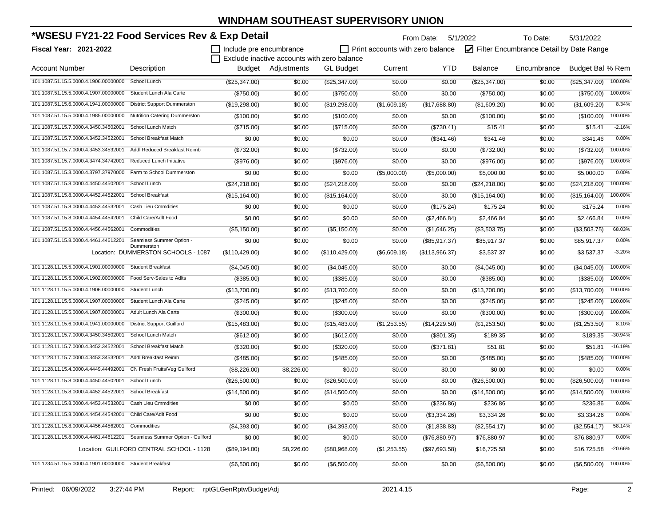| *WSESU FY21-22 Food Services Rev & Exp Detail                           |                                                   |                         |                                             |                  |                                         | From Date:     | 5/1/2022                                | To Date:    | 5/31/2022        |           |
|-------------------------------------------------------------------------|---------------------------------------------------|-------------------------|---------------------------------------------|------------------|-----------------------------------------|----------------|-----------------------------------------|-------------|------------------|-----------|
| <b>Fiscal Year: 2021-2022</b>                                           |                                                   | Include pre encumbrance |                                             |                  | $\Box$ Print accounts with zero balance |                | Filter Encumbrance Detail by Date Range |             |                  |           |
|                                                                         |                                                   |                         | Exclude inactive accounts with zero balance |                  |                                         |                |                                         |             |                  |           |
| <b>Account Number</b>                                                   | Description                                       |                         | Budget Adjustments                          | <b>GL Budget</b> | Current                                 | YTD.           | <b>Balance</b>                          | Encumbrance | Budget Bal % Rem |           |
| 101.1087.51.15.5.0000.4.1906.00000000                                   | School Lunch                                      | (\$25,347.00)           | \$0.00                                      | (\$25,347.00)    | \$0.00                                  | \$0.00         | (\$25,347.00)                           | \$0.00      | (\$25.347.00)    | 100.00%   |
| 101.1087.51.15.5.0000.4.1907.00000000                                   | Student Lunch Ala Carte                           | (\$750.00)              | \$0.00                                      | (\$750.00)       | \$0.00                                  | \$0.00         | (\$750.00)                              | \$0.00      | (\$750.00)       | 100.00%   |
| 101.1087.51.15.6.0000.4.1941.00000000                                   | <b>District Support Dummerston</b>                | (\$19,298.00)           | \$0.00                                      | (\$19,298.00)    | (\$1,609.18)                            | (\$17,688.80)  | (\$1,609.20)                            | \$0.00      | (\$1,609.20)     | 8.34%     |
| 101.1087.51.15.5.0000.4.1985.00000000                                   | Nutrition Catering Dummerston                     | (\$100.00)              | \$0.00                                      | (\$100.00)       | \$0.00                                  | \$0.00         | (\$100.00)                              | \$0.00      | (\$100.00)       | 100.00%   |
| 101.1087.51.15.7.0000.4.3450.34502001                                   | School Lunch Match                                | (\$715.00)              | \$0.00                                      | (\$715.00)       | \$0.00                                  | (\$730.41)     | \$15.41                                 | \$0.00      | \$15.41          | $-2.16%$  |
| 101.1087.51.15.7.0000.4.3452.34522001                                   | School Breakfast Match                            | \$0.00                  | \$0.00                                      | \$0.00           | \$0.00                                  | (\$341.46)     | \$341.46                                | \$0.00      | \$341.46         | 0.00%     |
| 101.1087.51.15.7.0000.4.3453.34532001                                   | Addl Reduced Breakfast Reimb                      | (\$732.00)              | \$0.00                                      | (\$732.00)       | \$0.00                                  | \$0.00         | (\$732.00)                              | \$0.00      | (\$732.00)       | 100.00%   |
| 101.1087.51.15.7.0000.4.3474.34742001                                   | Reduced Lunch Initiative                          | (\$976.00)              | \$0.00                                      | (\$976.00)       | \$0.00                                  | \$0.00         | (\$976.00)                              | \$0.00      | (\$976.00)       | 100.00%   |
| 101.1087.51.15.3.0000.4.3797.37970000                                   | Farm to School Dummerston                         | \$0.00                  | \$0.00                                      | \$0.00           | (\$5,000.00)                            | (\$5,000.00)   | \$5,000.00                              | \$0.00      | \$5,000.00       | 0.00%     |
| 101.1087.51.15.8.0000.4.4450.44502001                                   | School Lunch                                      | (\$24,218.00)           | \$0.00                                      | (\$24,218.00)    | \$0.00                                  | \$0.00         | (\$24,218.00)                           | \$0.00      | (\$24,218.00)    | 100.00%   |
| 101.1087.51.15.8.0000.4.4452.44522001                                   | School Breakfast                                  | (\$15,164.00)           | \$0.00                                      | (\$15, 164.00)   | \$0.00                                  | \$0.00         | (\$15,164.00)                           | \$0.00      | (\$15,164.00)    | 100.00%   |
| 101.1087.51.15.8.0000.4.4453.44532001                                   | Cash Lieu Cmmdities                               | \$0.00                  | \$0.00                                      | \$0.00           | \$0.00                                  | (\$175.24)     | \$175.24                                | \$0.00      | \$175.24         | 0.00%     |
| 101.1087.51.15.8.0000.4.4454.44542001                                   | Child Care/Adlt Food                              | \$0.00                  | \$0.00                                      | \$0.00           | \$0.00                                  | (\$2,466.84)   | \$2.466.84                              | \$0.00      | \$2,466.84       | 0.00%     |
| 101.1087.51.15.8.0000.4.4456.44562001                                   | Commodities                                       | (\$5,150.00)            | \$0.00                                      | (\$5,150.00)     | \$0.00                                  | (\$1,646.25)   | (\$3,503.75)                            | \$0.00      | (\$3,503.75)     | 68.03%    |
| 101.1087.51.15.8.0000.4.4461.44612201                                   | Seamless Summer Option -                          | \$0.00                  | \$0.00                                      | \$0.00           | \$0.00                                  | (\$85,917.37)  | \$85,917.37                             | \$0.00      | \$85,917.37      | 0.00%     |
|                                                                         | Dummerston<br>Location: DUMMERSTON SCHOOLS - 1087 | (\$110,429.00)          | \$0.00                                      | (\$110, 429.00)  | (\$6,609.18)                            | (\$113,966.37) | \$3,537.37                              | \$0.00      | \$3,537.37       | $-3.20%$  |
| 101.1128.11.15.5.0000.4.1901.00000000                                   | <b>Student Breakfast</b>                          | (\$4,045.00)            | \$0.00                                      | (\$4,045.00)     | \$0.00                                  | \$0.00         | (\$4,045.00)                            | \$0.00      | (\$4,045.00)     | 100.00%   |
| 101.1128.11.15.5.0000.4.1902.00000000                                   | Food Serv-Sales to Adlts                          | (\$385.00)              | \$0.00                                      | (\$385.00)       | \$0.00                                  | \$0.00         | (\$385.00)                              | \$0.00      | (\$385.00)       | 100.00%   |
| 101.1128.11.15.5.0000.4.1906.00000000                                   | Student Lunch                                     | (\$13,700.00)           | \$0.00                                      | (\$13,700.00)    | \$0.00                                  | \$0.00         | (\$13,700.00)                           | \$0.00      | (\$13,700.00)    | 100.00%   |
| 101.1128.11.15.5.0000.4.1907.00000000                                   | Student Lunch Ala Carte                           | (\$245.00)              | \$0.00                                      | (\$245.00)       | \$0.00                                  | \$0.00         | (\$245.00)                              | \$0.00      | (\$245.00)       | 100.00%   |
| 101.1128.11.15.5.0000.4.1907.00000001                                   | Adult Lunch Ala Carte                             | (\$300.00)              | \$0.00                                      | (\$300.00)       | \$0.00                                  | \$0.00         | (\$300.00)                              | \$0.00      | (\$300.00)       | 100.00%   |
| 101.1128.11.15.6.0000.4.1941.00000000                                   | <b>District Support Guilford</b>                  | (\$15,483.00)           | \$0.00                                      | (\$15,483.00)    | (\$1,253.55)                            | (\$14,229.50)  | (\$1,253.50)                            | \$0.00      | (\$1,253.50)     | 8.10%     |
| 101.1128.11.15.7.0000.4.3450.34502001                                   | School Lunch Match                                | (\$612.00)              | \$0.00                                      | (\$612.00)       | \$0.00                                  | (\$801.35)     | \$189.35                                | \$0.00      | \$189.35         | $-30.94%$ |
| 101.1128.11.15.7.0000.4.3452.34522001                                   | School Breakfast Match                            | (\$320.00)              | \$0.00                                      | (\$320.00)       | \$0.00                                  | (\$371.81)     | \$51.81                                 | \$0.00      | \$51.81          | $-16.19%$ |
| 101.1128.11.15.7.0000.4.3453.34532001                                   | Addl Breakfast Reimb                              | (\$485.00)              | \$0.00                                      | (\$485.00)       | \$0.00                                  | \$0.00         | (\$485.00)                              | \$0.00      | (\$485.00)       | 100.00%   |
| 101.1128.11.15.4.0000.4.4449.44492001                                   | CN Fresh Fruits/Veg Guilford                      | (\$8,226.00)            | \$8,226.00                                  | \$0.00           | \$0.00                                  | \$0.00         | \$0.00                                  | \$0.00      | \$0.00           | 0.00%     |
| 101.1128.11.15.8.0000.4.4450.44502001                                   | School Lunch                                      | (\$26,500.00)           | \$0.00                                      | (\$26,500.00)    | \$0.00                                  | \$0.00         | (\$26,500.00)                           | \$0.00      | (\$26,500.00)    | 100.00%   |
| 101.1128.11.15.8.0000.4.4452.44522001                                   | <b>School Breakfast</b>                           | (\$14,500.00)           | \$0.00                                      | (\$14,500.00)    | \$0.00                                  | \$0.00         | (\$14,500.00)                           | \$0.00      | (\$14,500.00)    | 100.00%   |
| 101.1128.11.15.8.0000.4.4453.44532001                                   | <b>Cash Lieu Cmmdities</b>                        | \$0.00                  | \$0.00                                      | \$0.00           | \$0.00                                  | (\$236.86)     | \$236.86                                | \$0.00      | \$236.86         | 0.00%     |
| 101.1128.11.15.8.0000.4.4454.44542001 Child Care/Adlt Food              |                                                   | \$0.00                  | \$0.00                                      | \$0.00           | \$0.00                                  | (\$3,334.26)   | \$3,334.26                              | \$0.00      | \$3,334.26       | 0.00%     |
| 101.1128.11.15.8.0000.4.4456.44562001                                   | Commodities                                       | (\$4,393.00)            | \$0.00                                      | (\$4,393.00)     | \$0.00                                  | (\$1,838.83)   | (\$2,554.17)                            | \$0.00      | (\$2,554.17)     | 58.14%    |
| 101.1128.11.15.8.0000.4.4461.44612201 Seamless Summer Option - Guilford |                                                   | \$0.00                  | \$0.00                                      | \$0.00           | \$0.00                                  | (\$76,880.97)  | \$76,880.97                             | \$0.00      | \$76,880.97      | 0.00%     |
|                                                                         | Location: GUILFORD CENTRAL SCHOOL - 1128          | (\$89,194.00)           | \$8,226.00                                  | (\$80,968.00)    | (\$1,253.55)                            | (\$97,693.58)  | \$16,725.58                             | \$0.00      | \$16,725.58      | $-20.66%$ |
| 101.1234.51.15.5.0000.4.1901.00000000 Student Breakfast                 |                                                   | (\$6,500.00)            | \$0.00                                      | (\$6,500.00)     | \$0.00                                  | \$0.00         | (\$6,500.00)                            | \$0.00      | (\$6,500.00)     | 100.00%   |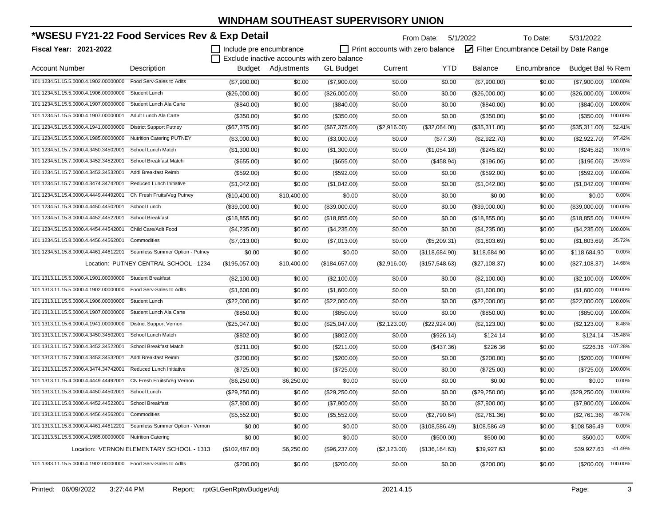| *WSESU FY21-22 Food Services Rev & Exp Detail                         |                                           |                         |                                                                   |                  |                                         | From Date: 5/1/2022 |                                         | To Date:    | 5/31/2022        |            |
|-----------------------------------------------------------------------|-------------------------------------------|-------------------------|-------------------------------------------------------------------|------------------|-----------------------------------------|---------------------|-----------------------------------------|-------------|------------------|------------|
| Fiscal Year: 2021-2022                                                |                                           | Include pre encumbrance |                                                                   |                  | $\Box$ Print accounts with zero balance |                     | Filter Encumbrance Detail by Date Range |             |                  |            |
| <b>Account Number</b>                                                 | Description                               |                         | Exclude inactive accounts with zero balance<br>Budget Adjustments | <b>GL</b> Budget | Current                                 | <b>YTD</b>          | <b>Balance</b>                          | Encumbrance | Budget Bal % Rem |            |
| 101.1234.51.15.5.0000.4.1902.00000000                                 | Food Serv-Sales to Adlts                  | (\$7,900.00)            | \$0.00                                                            | (\$7,900.00)     | \$0.00                                  | \$0.00              | (\$7,900.00)                            | \$0.00      | (\$7,900.00)     | 100.00%    |
| 101.1234.51.15.5.0000.4.1906.00000000                                 | Student Lunch                             | (\$26,000.00)           | \$0.00                                                            | (\$26,000.00)    | \$0.00                                  | \$0.00              | $(\$26,000.00)$                         | \$0.00      | (\$26,000.00)    | 100.00%    |
| 101.1234.51.15.5.0000.4.1907.00000000                                 | Student Lunch Ala Carte                   | (\$840.00)              | \$0.00                                                            | (\$840.00)       | \$0.00                                  | \$0.00              | $(\$840.00)$                            | \$0.00      | (\$840.00)       | 100.00%    |
| 101.1234.51.15.5.0000.4.1907.00000001                                 | Adult Lunch Ala Carte                     | (\$350.00)              | \$0.00                                                            | (\$350.00)       | \$0.00                                  | \$0.00              | (\$350.00)                              | \$0.00      | (\$350.00)       | 100.00%    |
| 101.1234.51.15.6.0000.4.1941.00000000                                 | <b>District Support Putney</b>            | (\$67,375.00)           | \$0.00                                                            | (\$67,375.00)    | (\$2,916.00)                            | (\$32,064.00)       | (\$35,311.00)                           | \$0.00      | (\$35,311.00)    | 52.41%     |
| 101.1234.51.15.5.0000.4.1985.00000000                                 | <b>Nutrition Catering PUTNEY</b>          | (\$3,000.00)            | \$0.00                                                            | (\$3,000.00)     | \$0.00                                  | (\$77.30)           | (\$2,922.70)                            | \$0.00      | (\$2,922.70)     | 97.42%     |
| 101.1234.51.15.7.0000.4.3450.34502001                                 | School Lunch Match                        | (\$1,300.00)            | \$0.00                                                            | (\$1,300.00)     | \$0.00                                  | (\$1,054.18)        | (\$245.82)                              | \$0.00      | (\$245.82)       | 18.91%     |
| 101.1234.51.15.7.0000.4.3452.34522001                                 | School Breakfast Match                    | (\$655.00)              | \$0.00                                                            | (\$655.00)       | \$0.00                                  | (\$458.94)          | (\$196.06)                              | \$0.00      | (\$196.06)       | 29.93%     |
| 101.1234.51.15.7.0000.4.3453.34532001                                 | Addl Breakfast Reimb                      | (\$592.00)              | \$0.00                                                            | (\$592.00)       | \$0.00                                  | \$0.00              | (\$592.00)                              | \$0.00      | (\$592.00)       | 100.00%    |
| 101.1234.51.15.7.0000.4.3474.34742001                                 | Reduced Lunch Initiative                  | (\$1,042.00)            | \$0.00                                                            | (\$1,042.00)     | \$0.00                                  | \$0.00              | (\$1,042.00)                            | \$0.00      | (\$1,042.00)     | 100.00%    |
| 101.1234.51.15.4.0000.4.4449.44492001                                 | CN Fresh Fruits/Veg Putney                | (\$10,400.00)           | \$10,400.00                                                       | \$0.00           | \$0.00                                  | \$0.00              | \$0.00                                  | \$0.00      | \$0.00           | 0.00%      |
| 101.1234.51.15.8.0000.4.4450.44502001                                 | School Lunch                              | (\$39,000.00)           | \$0.00                                                            | (\$39,000.00)    | \$0.00                                  | \$0.00              | (\$39,000.00)                           | \$0.00      | (\$39,000.00)    | 100.00%    |
| 101.1234.51.15.8.0000.4.4452.44522001                                 | School Breakfast                          | (\$18,855.00)           | \$0.00                                                            | (\$18,855.00)    | \$0.00                                  | \$0.00              | (\$18,855.00)                           | \$0.00      | (\$18,855.00)    | 100.00%    |
| 101.1234.51.15.8.0000.4.4454.44542001                                 | Child Care/Adlt Food                      | (\$4,235.00)            | \$0.00                                                            | (\$4,235.00)     | \$0.00                                  | \$0.00              | (\$4,235.00)                            | \$0.00      | (\$4,235.00)     | 100.00%    |
| 101.1234.51.15.8.0000.4.4456.44562001                                 | Commodities                               | (\$7,013.00)            | \$0.00                                                            | (\$7,013.00)     | \$0.00                                  | (\$5,209.31)        | (\$1,803.69)                            | \$0.00      | (\$1,803.69)     | 25.72%     |
| 101.1234.51.15.8.0000.4.4461.44612201 Seamless Summer Option - Putney |                                           | \$0.00                  | \$0.00                                                            | \$0.00           | \$0.00                                  | (\$118,684.90)      | \$118,684.90                            | \$0.00      | \$118,684.90     | 0.00%      |
|                                                                       | Location: PUTNEY CENTRAL SCHOOL - 1234    | (\$195,057.00)          | \$10,400.00                                                       | (\$184,657.00)   | (\$2,916.00)                            | (\$157,548.63)      | $(\$27,108.37)$                         | \$0.00      | (\$27,108.37)    | 14.68%     |
| 101.1313.11.15.5.0000.4.1901.00000000                                 | <b>Student Breakfast</b>                  | (\$2,100.00)            | \$0.00                                                            | (\$2,100.00)     | \$0.00                                  | \$0.00              | (\$2,100.00)                            | \$0.00      | (\$2,100.00)     | 100.00%    |
| 101.1313.11.15.5.0000.4.1902.00000000                                 | Food Serv-Sales to Adlts                  | (\$1,600.00)            | \$0.00                                                            | (\$1,600.00)     | \$0.00                                  | \$0.00              | (\$1,600.00)                            | \$0.00      | (\$1,600.00)     | 100.00%    |
| 101.1313.11.15.5.0000.4.1906.00000000                                 | <b>Student Lunch</b>                      | (\$22,000.00)           | \$0.00                                                            | (\$22,000.00)    | \$0.00                                  | \$0.00              | (\$22,000.00)                           | \$0.00      | (\$22,000.00)    | 100.00%    |
| 101.1313.11.15.5.0000.4.1907.00000000                                 | Student Lunch Ala Carte                   | (\$850.00)              | \$0.00                                                            | (\$850.00)       | \$0.00                                  | \$0.00              | (\$850.00)                              | \$0.00      | (\$850.00)       | 100.00%    |
| 101.1313.11.15.6.0000.4.1941.00000000                                 | <b>District Support Vernon</b>            | (\$25,047.00)           | \$0.00                                                            | (\$25,047.00)    | (\$2,123.00)                            | (\$22,924.00)       | (\$2,123.00)                            | \$0.00      | (\$2,123.00)     | 8.48%      |
| 101.1313.11.15.7.0000.4.3450.34502001                                 | School Lunch Match                        | (\$802.00)              | \$0.00                                                            | (\$802.00)       | \$0.00                                  | (\$926.14)          | \$124.14                                | \$0.00      | \$124.14         | $-15.48%$  |
| 101.1313.11.15.7.0000.4.3452.34522001                                 | School Breakfast Match                    | (\$211.00)              | \$0.00                                                            | (\$211.00)       | \$0.00                                  | (\$437.36)          | \$226.36                                | \$0.00      | \$226.36         | $-107.28%$ |
| 101.1313.11.15.7.0000.4.3453.34532001                                 | Addl Breakfast Reimb                      | $(\$200.00)$            | \$0.00                                                            | $(\$200.00)$     | \$0.00                                  | \$0.00              | $(\$200.00)$                            | \$0.00      | (\$200.00)       | 100.00%    |
| 101.1313.11.15.7.0000.4.3474.34742001                                 | Reduced Lunch Initiative                  | (\$725.00)              | \$0.00                                                            | (\$725.00)       | \$0.00                                  | \$0.00              | (\$725.00)                              | \$0.00      | (\$725.00)       | 100.00%    |
| 101.1313.11.15.4.0000.4.4449.44492001                                 | CN Fresh Fruits/Veg Vernon                | (\$6,250.00)            | \$6,250.00                                                        | \$0.00           | \$0.00                                  | \$0.00              | \$0.00                                  | \$0.00      | \$0.00           | 0.00%      |
| 101.1313.11.15.8.0000.4.4450.44502001                                 | School Lunch                              | (\$29,250.00)           | \$0.00                                                            | (\$29,250.00)    | \$0.00                                  | \$0.00              | (\$29,250.00)                           | \$0.00      | (\$29,250.00)    | 100.00%    |
| 101.1313.11.15.8.0000.4.4452.44522001 School Breakfast                |                                           | (\$7,900.00)            | \$0.00                                                            | (\$7,900.00)     | \$0.00                                  | \$0.00              | (\$7,900.00)                            | \$0.00      | (\$7,900.00)     | 100.00%    |
| 101.1313.11.15.8.0000.4.4456.44562001 Commodities                     |                                           | (\$5,552.00)            | \$0.00                                                            | (\$5,552.00)     | \$0.00                                  | (\$2,790.64)        | (\$2,761.36)                            | \$0.00      | (\$2,761.36)     | 49.74%     |
| 101.1313.11.15.8.0000.4.4461.44612201 Seamless Summer Option - Vernon |                                           | \$0.00                  | \$0.00                                                            | \$0.00           | \$0.00                                  | (\$108,586.49)      | \$108,586.49                            | \$0.00      | \$108,586.49     | 0.00%      |
| 101.1313.51.15.5.0000.4.1985.00000000 Nutrition Catering              |                                           | \$0.00                  | \$0.00                                                            | \$0.00           | \$0.00                                  | (\$500.00)          | \$500.00                                | \$0.00      | \$500.00         | 0.00%      |
|                                                                       | Location: VERNON ELEMENTARY SCHOOL - 1313 | (\$102,487.00)          | \$6,250.00                                                        | (\$96,237.00)    | (\$2,123.00)                            | (\$136, 164.63)     | \$39,927.63                             | \$0.00      | \$39,927.63      | -41.49%    |
| 101.1383.11.15.5.0000.4.1902.00000000 Food Serv-Sales to Adlts        |                                           | $(\$200.00)$            | \$0.00                                                            | (\$200.00)       | \$0.00                                  | \$0.00              | $(\$200.00)$                            | \$0.00      | $(\$200.00)$     | 100.00%    |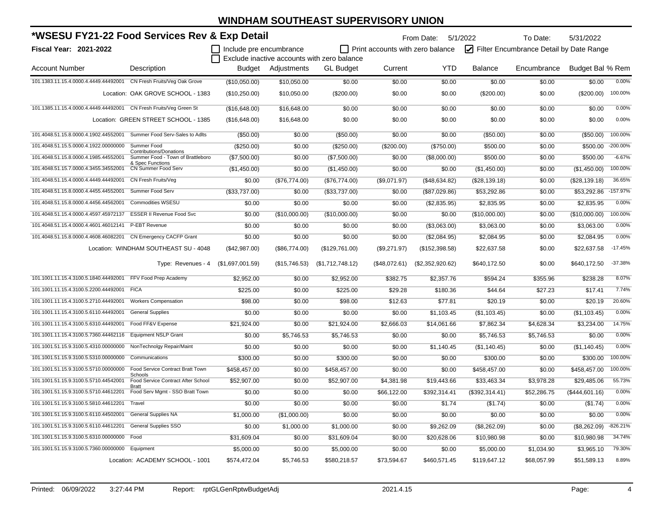| *WSESU FY21-22 Food Services Rev & Exp Detail                      |                                                                     |                         |               |                                             | From Date: 5/1/2022<br>To Date:<br>5/31/2022 |                  |                |                                         |                  |            |  |
|--------------------------------------------------------------------|---------------------------------------------------------------------|-------------------------|---------------|---------------------------------------------|----------------------------------------------|------------------|----------------|-----------------------------------------|------------------|------------|--|
| Fiscal Year: 2021-2022                                             |                                                                     | Include pre encumbrance |               | Exclude inactive accounts with zero balance | Print accounts with zero balance             |                  |                | Filter Encumbrance Detail by Date Range |                  |            |  |
| <b>Account Number</b>                                              | Description                                                         | Budget                  | Adjustments   | <b>GL</b> Budget                            | Current                                      | <b>YTD</b>       | <b>Balance</b> | Encumbrance                             | Budget Bal % Rem |            |  |
| 101.1383.11.15.4.0000.4.4449.44492001                              | CN Fresh Fruits/Veg Oak Grove                                       | (\$10,050.00)           | \$10,050.00   | \$0.00                                      | \$0.00                                       | \$0.00           | \$0.00         | \$0.00                                  | \$0.00           | 0.00%      |  |
|                                                                    | Location: OAK GROVE SCHOOL - 1383                                   | (\$10,250.00)           | \$10,050.00   | (\$200.00)                                  | \$0.00                                       | \$0.00           | (\$200.00)     | \$0.00                                  | (\$200.00)       | 100.00%    |  |
| 101.1385.11.15.4.0000.4.4449.44492001 CN Fresh Fruits/Veg Green St |                                                                     | (\$16,648.00)           | \$16,648.00   | \$0.00                                      | \$0.00                                       | \$0.00           | \$0.00         | \$0.00                                  | \$0.00           | 0.00%      |  |
|                                                                    | Location: GREEN STREET SCHOOL - 1385                                | (\$16,648.00)           | \$16,648.00   | \$0.00                                      | \$0.00                                       | \$0.00           | \$0.00         | \$0.00                                  | \$0.00           | 0.00%      |  |
| 101.4048.51.15.8.0000.4.1902.44552001                              | Summer Food Serv-Sales to Adlts                                     | (\$50.00)               | \$0.00        | (\$50.00)                                   | \$0.00                                       | \$0.00           | (\$50.00)      | \$0.00                                  | (\$50.00)        | 100.00%    |  |
| 101.4048.51.15.5.0000.4.1922.00000000                              | Summer Food                                                         | (\$250.00)              | \$0.00        | $(\$250.00)$                                | (\$200.00)                                   | (\$750.00)       | \$500.00       | \$0.00                                  | \$500.00         | -200.00%   |  |
| 101.4048.51.15.8.0000.4.1985.44552001                              | <b>Contributions/Donations</b><br>Summer Food - Town of Brattleboro | (\$7,500.00)            | \$0.00        | (\$7,500.00)                                | \$0.00                                       | (\$8,000.00)     | \$500.00       | \$0.00                                  | \$500.00         | $-6.67%$   |  |
| 101.4048.51.15.7.0000.4.3455.34552001                              | & Spec Functions<br>CN Summer Food Serv                             | (\$1,450.00)            | \$0.00        | (\$1,450.00)                                | \$0.00                                       | \$0.00           | (\$1,450.00)   | \$0.00                                  | (\$1,450.00)     | 100.00%    |  |
| 101.4048.51.15.4.0000.4.4449.44492001                              | CN Fresh Fruits/Veg                                                 | \$0.00                  | (\$76,774.00) | (\$76,774.00)                               | (\$9,071.97)                                 | (\$48,634.82)    | (\$28,139.18)  | \$0.00                                  | (\$28,139.18)    | 36.65%     |  |
| 101.4048.51.15.8.0000.4.4455.44552001                              | Summer Food Serv                                                    | (\$33,737.00)           | \$0.00        | (\$33,737.00)                               | \$0.00                                       | (\$87,029.86)    | \$53,292.86    | \$0.00                                  | \$53,292.86      | $-157.97%$ |  |
| 101.4048.51.15.8.0000.4.4456.44562001                              | <b>Commodities WSESU</b>                                            | \$0.00                  | \$0.00        | \$0.00                                      | \$0.00                                       | (\$2,835.95)     | \$2,835.95     | \$0.00                                  | \$2,835.95       | 0.00%      |  |
| 101.4048.51.15.4.0000.4.4597.45972137                              | <b>ESSER II Revenue Food Svc</b>                                    | \$0.00                  | (\$10,000.00) | (\$10,000.00)                               | \$0.00                                       | \$0.00           | (\$10,000.00)  | \$0.00                                  | (\$10,000.00)    | 100.00%    |  |
| 101.4048.51.15.4.0000.4.4601.46012141                              | P-EBT Revenue                                                       | \$0.00                  | \$0.00        | \$0.00                                      | \$0.00                                       | (\$3,063.00)     | \$3,063.00     | \$0.00                                  | \$3,063.00       | 0.00%      |  |
| 101.4048.51.15.8.0000.4.4608.46082201 CN Emergency CACFP Grant     |                                                                     | \$0.00                  | \$0.00        | \$0.00                                      | \$0.00                                       | (\$2,084.95)     | \$2,084.95     | \$0.00                                  | \$2,084.95       | 0.00%      |  |
|                                                                    | Location: WINDHAM SOUTHEAST SU - 4048                               | (\$42,987.00)           | (\$86,774.00) | (\$129,761.00)                              | (\$9,271.97)                                 | (\$152,398.58)   | \$22,637.58    | \$0.00                                  | \$22,637.58      | $-17.45%$  |  |
|                                                                    | Type: Revenues - 4 (\$1,697,001.59)                                 |                         | (\$15,746.53) | (\$1,712,748.12)                            | (\$48,072.61)                                | (\$2,352,920.62) | \$640,172.50   | \$0.00                                  | \$640,172.50     | $-37.38%$  |  |
| 101.1001.11.15.4.3100.5.1840.44492001                              | FFV Food Prep Academy                                               | \$2,952.00              | \$0.00        | \$2,952.00                                  | \$382.75                                     | \$2,357.76       | \$594.24       | \$355.96                                | \$238.28         | 8.07%      |  |
| 101.1001.11.15.4.3100.5.2200.44492001                              | <b>FICA</b>                                                         | \$225.00                | \$0.00        | \$225.00                                    | \$29.28                                      | \$180.36         | \$44.64        | \$27.23                                 | \$17.41          | 7.74%      |  |
| 101.1001.11.15.4.3100.5.2710.44492001                              | <b>Workers Compensation</b>                                         | \$98.00                 | \$0.00        | \$98.00                                     | \$12.63                                      | \$77.81          | \$20.19        | \$0.00                                  | \$20.19          | 20.60%     |  |
| 101.1001.11.15.4.3100.5.6110.44492001                              | <b>General Supplies</b>                                             | \$0.00                  | \$0.00        | \$0.00                                      | \$0.00                                       | \$1,103.45       | (\$1,103.45)   | \$0.00                                  | (\$1,103.45)     | 0.00%      |  |
| 101.1001.11.15.4.3100.5.6310.44492001                              | Food FF&V Expense                                                   | \$21,924.00             | \$0.00        | \$21,924.00                                 | \$2,666.03                                   | \$14,061.66      | \$7,862.34     | \$4,628.34                              | \$3,234.00       | 14.75%     |  |
| 101.1001.11.15.4.3100.5.7360.44462116                              | <b>Equipment NSLP Grant</b>                                         | \$0.00                  | \$5,746.53    | \$5,746.53                                  | \$0.00                                       | \$0.00           | \$5,746.53     | \$5,746.53                              | \$0.00           | 0.00%      |  |
| 101.1001.51.15.9.3100.5.4310.00000000                              | NonTechnolgy Repair/Maint                                           | \$0.00                  | \$0.00        | \$0.00                                      | \$0.00                                       | \$1,140.45       | (\$1,140.45)   | \$0.00                                  | (\$1,140.45)     | 0.00%      |  |
| 101.1001.51.15.9.3100.5.5310.00000000                              | Communications                                                      | \$300.00                | \$0.00        | \$300.00                                    | \$0.00                                       | \$0.00           | \$300.00       | \$0.00                                  | \$300.00         | 100.00%    |  |
| 101.1001.51.15.9.3100.5.5710.00000000                              | Food Service Contract Bratt Town                                    | \$458,457.00            | \$0.00        | \$458,457.00                                | \$0.00                                       | \$0.00           | \$458,457.00   | \$0.00                                  | \$458,457.00     | 100.00%    |  |
| 101.1001.51.15.9.3100.5.5710.44542001                              | Schools<br>Food Service Contract After School                       | \$52,907.00             | \$0.00        | \$52,907.00                                 | \$4,381.98                                   | \$19,443.66      | \$33,463.34    | \$3,978.28                              | \$29,485.06      | 55.73%     |  |
| 101.1001.51.15.9.3100.5.5710.44612201                              | Bratt<br>Food Serv Mgmt - SSO Bratt Town                            | \$0.00                  | \$0.00        | \$0.00                                      | \$66,122.00                                  | \$392,314.41     | (\$392,314.41) | \$52,286.75                             | (\$444,601.16)   | 0.00%      |  |
| 101.1001.51.15.9.3100.5.5810.44612201                              | Travel                                                              | \$0.00                  | \$0.00        | \$0.00                                      | \$0.00                                       | \$1.74           | (\$1.74)       | \$0.00                                  | (\$1.74)         | 0.00%      |  |
| 101.1001.51.15.9.3100.5.6110.44502001                              | <b>General Supplies NA</b>                                          | \$1,000.00              | (\$1,000.00)  | \$0.00                                      | \$0.00                                       | \$0.00           | \$0.00         | \$0.00                                  | \$0.00           | 0.00%      |  |
| 101.1001.51.15.9.3100.5.6110.44612201                              | <b>General Supplies SSO</b>                                         | \$0.00                  | \$1,000.00    | \$1,000.00                                  | \$0.00                                       | \$9,262.09       | (\$8,262.09)   | \$0.00                                  | (\$8,262.09)     | $-826.21%$ |  |
| 101.1001.51.15.9.3100.5.6310.00000000                              | Food                                                                | \$31,609.04             | \$0.00        | \$31,609.04                                 | \$0.00                                       | \$20,628.06      | \$10,980.98    | \$0.00                                  | \$10,980.98      | 34.74%     |  |
| 101.1001.51.15.9.3100.5.7360.00000000                              | Equipment                                                           | \$5,000.00              | \$0.00        | \$5,000.00                                  | \$0.00                                       | \$0.00           | \$5,000.00     | \$1,034.90                              | \$3,965.10       | 79.30%     |  |
|                                                                    | Location: ACADEMY SCHOOL - 1001                                     | \$574,472.04            | \$5,746.53    | \$580,218.57                                | \$73,594.67                                  | \$460,571.45     | \$119,647.12   | \$68,057.99                             | \$51,589.13      | 8.89%      |  |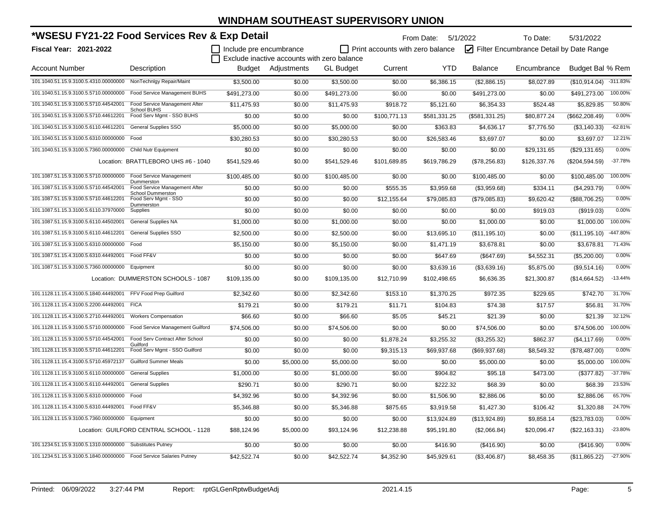| *WSESU FY21-22 Food Services Rev & Exp Detail                      |                                                     |                         |                                             | From Date: 5/1/2022<br>To Date: |                                         |              |                |                                         |                  |            |
|--------------------------------------------------------------------|-----------------------------------------------------|-------------------------|---------------------------------------------|---------------------------------|-----------------------------------------|--------------|----------------|-----------------------------------------|------------------|------------|
| Fiscal Year: 2021-2022                                             |                                                     | Include pre encumbrance |                                             |                                 | $\Box$ Print accounts with zero balance |              |                | Filter Encumbrance Detail by Date Range |                  |            |
|                                                                    |                                                     |                         | Exclude inactive accounts with zero balance |                                 |                                         |              |                |                                         |                  |            |
| <b>Account Number</b>                                              | Description                                         | Budget                  | Adjustments                                 | <b>GL</b> Budget                | Current                                 | <b>YTD</b>   | <b>Balance</b> | Encumbrance                             | Budget Bal % Rem |            |
| 101.1040.51.15.9.3100.5.4310.00000000 NonTechnIgy Repair/Maint     |                                                     | \$3,500.00              | \$0.00                                      | \$3,500.00                      | \$0.00                                  | \$6,386.15   | (\$2,886.15)   | \$8,027.89                              | (\$10,914.04)    | $-311.83%$ |
| 101.1040.51.15.9.3100.5.5710.00000000                              | Food Service Management BUHS                        | \$491,273.00            | \$0.00                                      | \$491,273.00                    | \$0.00                                  | \$0.00       | \$491,273.00   | \$0.00                                  | \$491,273.00     | 100.00%    |
| 101.1040.51.15.9.3100.5.5710.44542001                              | Food Service Management After<br><b>School BUHS</b> | \$11,475.93             | \$0.00                                      | \$11,475.93                     | \$918.72                                | \$5,121.60   | \$6,354.33     | \$524.48                                | \$5,829.85       | 50.80%     |
| 101.1040.51.15.9.3100.5.5710.44612201                              | Food Serv Mgmt - SSO BUHS                           | \$0.00                  | \$0.00                                      | \$0.00                          | \$100,771.13                            | \$581,331.25 | (\$581,331.25) | \$80,877.24                             | (\$662, 208.49)  | 0.00%      |
| 101.1040.51.15.9.3100.5.6110.44612201                              | <b>General Supplies SSO</b>                         | \$5,000.00              | \$0.00                                      | \$5,000.00                      | \$0.00                                  | \$363.83     | \$4,636.17     | \$7,776.50                              | (\$3,140.33)     | $-62.81%$  |
| 101.1040.51.15.9.3100.5.6310.00000000                              | Food                                                | \$30,280.53             | \$0.00                                      | \$30,280.53                     | \$0.00                                  | \$26,583.46  | \$3,697.07     | \$0.00                                  | \$3,697.07       | 12.21%     |
| 101.1040.51.15.9.3100.5.7360.00000000                              | Child Nutr Equipment                                | \$0.00                  | \$0.00                                      | \$0.00                          | \$0.00                                  | \$0.00       | \$0.00         | \$29,131.65                             | (\$29,131.65)    | 0.00%      |
|                                                                    | Location: BRATTLEBORO UHS #6 - 1040                 | \$541,529.46            | \$0.00                                      | \$541,529.46                    | \$101,689.85                            | \$619,786.29 | (\$78,256.83)  | \$126,337.76                            | (\$204,594.59)   | $-37.78%$  |
| 101.1087.51.15.9.3100.5.5710.00000000                              | <b>Food Service Management</b>                      | \$100,485.00            | \$0.00                                      | \$100,485.00                    | \$0.00                                  | \$0.00       | \$100,485.00   | \$0.00                                  | \$100,485.00     | 100.00%    |
| 101.1087.51.15.9.3100.5.5710.44542001                              | Dummerston<br>Food Service Management After         | \$0.00                  | \$0.00                                      | \$0.00                          | \$555.35                                | \$3,959.68   | (\$3,959.68)   | \$334.11                                | (\$4,293.79)     | 0.00%      |
| 101.1087.51.15.9.3100.5.5710.44612201                              | <b>School Dummerston</b><br>Food Serv Mgmt - SSO    | \$0.00                  | \$0.00                                      | \$0.00                          | \$12,155.64                             | \$79,085.83  | (\$79,085.83)  | \$9,620.42                              | (\$88,706.25)    | 0.00%      |
| 101.1087.51.15.3.3100.5.6110.37970000                              | Dummerston<br>Supplies                              | \$0.00                  | \$0.00                                      | \$0.00                          | \$0.00                                  | \$0.00       | \$0.00         | \$919.03                                | (\$919.03)       | 0.00%      |
| 101.1087.51.15.9.3100.5.6110.44502001                              | <b>General Supplies NA</b>                          | \$1,000.00              | \$0.00                                      | \$1,000.00                      | \$0.00                                  | \$0.00       | \$1,000.00     | \$0.00                                  | \$1,000.00       | 100.00%    |
| 101.1087.51.15.9.3100.5.6110.44612201                              | General Supplies SSO                                | \$2,500.00              | \$0.00                                      | \$2,500.00                      | \$0.00                                  | \$13,695.10  | (\$11,195.10)  | \$0.00                                  | (\$11,195.10)    | -447.80%   |
| 101.1087.51.15.9.3100.5.6310.00000000 Food                         |                                                     | \$5,150.00              | \$0.00                                      | \$5,150.00                      | \$0.00                                  | \$1,471.19   | \$3,678.81     | \$0.00                                  | \$3,678.81       | 71.43%     |
| 101.1087.51.15.4.3100.5.6310.44492001                              | Food FF&V                                           | \$0.00                  | \$0.00                                      | \$0.00                          | \$0.00                                  | \$647.69     | (\$647.69)     | \$4,552.31                              | (\$5,200.00)     | 0.00%      |
| 101.1087.51.15.9.3100.5.7360.00000000 Equipment                    |                                                     | \$0.00                  | \$0.00                                      | \$0.00                          | \$0.00                                  | \$3,639.16   | (\$3,639.16)   | \$5,875.00                              | (\$9,514.16)     | 0.00%      |
|                                                                    | Location: DUMMERSTON SCHOOLS - 1087                 | \$109,135.00            | \$0.00                                      | \$109,135.00                    | \$12,710.99                             | \$102,498.65 | \$6,636.35     | \$21,300.87                             | (\$14,664.52)    | $-13.44%$  |
| 101.1128.11.15.4.3100.5.1840.44492001 FFV Food Prep Guilford       |                                                     | \$2,342.60              | \$0.00                                      | \$2,342.60                      | \$153.10                                | \$1,370.25   | \$972.35       | \$229.65                                | \$742.70         | 31.70%     |
| 101.1128.11.15.4.3100.5.2200.44492001                              | <b>FICA</b>                                         | \$179.21                | \$0.00                                      | \$179.21                        | \$11.71                                 | \$104.83     | \$74.38        | \$17.57                                 | \$56.81          | 31.70%     |
| 101.1128.11.15.4.3100.5.2710.44492001                              | <b>Workers Compensation</b>                         | \$66.60                 | \$0.00                                      | \$66.60                         | \$5.05                                  | \$45.21      | \$21.39        | \$0.00                                  | \$21.39          | 32.12%     |
| 101.1128.11.15.9.3100.5.5710.00000000                              | Food Service Management Guilford                    | \$74,506.00             | \$0.00                                      | \$74,506.00                     | \$0.00                                  | \$0.00       | \$74,506.00    | \$0.00                                  | \$74,506.00      | 100.00%    |
| 101.1128.11.15.9.3100.5.5710.44542001                              | Food Serv Contract After School<br>Guilford         | \$0.00                  | \$0.00                                      | \$0.00                          | \$1,878.24                              | \$3,255.32   | (\$3,255.32)   | \$862.37                                | (\$4,117.69)     | 0.00%      |
| 101.1128.11.15.9.3100.5.5710.44612201                              | Food Serv Mgmt - SSO Guilford                       | \$0.00                  | \$0.00                                      | \$0.00                          | \$9,315.13                              | \$69,937.68  | (\$69,937.68)  | \$8,549.32                              | (\$78,487.00)    | 0.00%      |
| 101.1128.11.15.4.3100.5.5710.45972137                              | <b>Guilford Summer Meals</b>                        | \$0.00                  | \$5,000.00                                  | \$5,000.00                      | \$0.00                                  | \$0.00       | \$5,000.00     | \$0.00                                  | \$5,000.00       | 100.00%    |
| 101.1128.11.15.9.3100.5.6110.00000000                              | <b>General Supplies</b>                             | \$1.000.00              | \$0.00                                      | \$1,000.00                      | \$0.00                                  | \$904.82     | \$95.18        | \$473.00                                | (\$377.82)       | $-37.78%$  |
| 101.1128.11.15.4.3100.5.6110.44492001                              | <b>General Supplies</b>                             | \$290.71                | \$0.00                                      | \$290.71                        | \$0.00                                  | \$222.32     | \$68.39        | \$0.00                                  | \$68.39          | 23.53%     |
| 101.1128.11.15.9.3100.5.6310.00000000 Food                         |                                                     | \$4,392.96              | \$0.00                                      | \$4,392.96                      | \$0.00                                  | \$1,506.90   | \$2,886.06     | \$0.00                                  | \$2.886.06       | 65.70%     |
| 101.1128.11.15.4.3100.5.6310.44492001                              | Food FF&V                                           | \$5,346.88              | \$0.00                                      | \$5,346.88                      | \$875.65                                | \$3,919.58   | \$1,427.30     | \$106.42                                | \$1,320.88       | 24.70%     |
| 101.1128.11.15.9.3100.5.7360.00000000 Equipment                    |                                                     | \$0.00                  | \$0.00                                      | \$0.00                          | \$0.00                                  | \$13,924.89  | (\$13,924.89)  | \$9,858.14                              | (\$23,783.03)    | 0.00%      |
|                                                                    | Location: GUILFORD CENTRAL SCHOOL - 1128            | \$88,124.96             | \$5,000.00                                  | \$93,124.96                     | \$12,238.88                             | \$95,191.80  | (\$2,066.84)   | \$20,096.47                             | (\$22,163.31)    | $-23.80%$  |
| 101.1234.51.15.9.3100.5.1310.00000000 Substitutes Putney           |                                                     | \$0.00                  | \$0.00                                      | \$0.00                          | \$0.00                                  | \$416.90     | (\$416.90)     | \$0.00                                  | (\$416.90)       | 0.00%      |
| 101.1234.51.15.9.3100.5.1840.00000000 Food Service Salaries Putney |                                                     | \$42,522.74             | \$0.00                                      | \$42,522.74                     | \$4.352.90                              | \$45,929.61  | (\$3,406.87)   | \$8,458.35                              | (\$11,865.22)    | $-27.90%$  |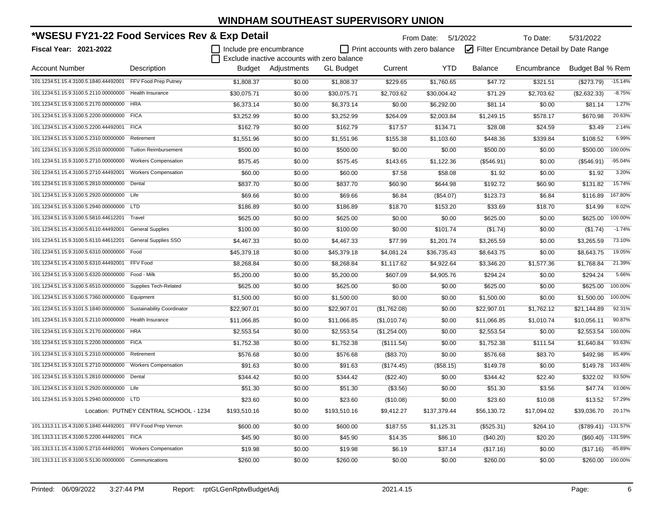| *WSESU FY21-22 Food Services Rev & Exp Detail               |                                        |                         |                                             | From Date: 5/1/2022 | To Date:<br>5/31/2022            |              |                                         |             |                  |            |
|-------------------------------------------------------------|----------------------------------------|-------------------------|---------------------------------------------|---------------------|----------------------------------|--------------|-----------------------------------------|-------------|------------------|------------|
| <b>Fiscal Year: 2021-2022</b>                               |                                        | Include pre encumbrance |                                             |                     | Print accounts with zero balance |              | Filter Encumbrance Detail by Date Range |             |                  |            |
|                                                             |                                        |                         | Exclude inactive accounts with zero balance |                     |                                  |              |                                         |             |                  |            |
| <b>Account Number</b>                                       | Description                            |                         | Budget Adjustments                          | <b>GL Budget</b>    | Current                          | <b>YTD</b>   | <b>Balance</b>                          | Encumbrance | Budget Bal % Rem |            |
| 101.1234.51.15.4.3100.5.1840.44492001                       | FFV Food Prep Putney                   | \$1,808.37              | \$0.00                                      | \$1,808.37          | \$229.65                         | \$1,760.65   | \$47.72                                 | \$321.51    | (\$273.79)       | $-15.14%$  |
| 101.1234.51.15.9.3100.5.2110.00000000                       | <b>Health Insurance</b>                | \$30,075.71             | \$0.00                                      | \$30,075.71         | \$2,703.62                       | \$30,004.42  | \$71.29                                 | \$2,703.62  | (\$2,632.33)     | $-8.75%$   |
| 101.1234.51.15.9.3100.5.2170.00000000                       | <b>HRA</b>                             | \$6,373.14              | \$0.00                                      | \$6,373.14          | \$0.00                           | \$6,292.00   | \$81.14                                 | \$0.00      | \$81.14          | 1.27%      |
| 101.1234.51.15.9.3100.5.2200.00000000                       | <b>FICA</b>                            | \$3,252.99              | \$0.00                                      | \$3,252.99          | \$264.09                         | \$2,003.84   | \$1,249.15                              | \$578.17    | \$670.98         | 20.63%     |
| 101.1234.51.15.4.3100.5.2200.44492001                       | <b>FICA</b>                            | \$162.79                | \$0.00                                      | \$162.79            | \$17.57                          | \$134.71     | \$28.08                                 | \$24.59     | \$3.49           | 2.14%      |
| 101.1234.51.15.9.3100.5.2310.00000000                       | Retirement                             | \$1,551.96              | \$0.00                                      | \$1,551.96          | \$155.38                         | \$1,103.60   | \$448.36                                | \$339.84    | \$108.52         | 6.99%      |
| 101.1234.51.15.9.3100.5.2510.00000000                       | <b>Tuition Reimbursement</b>           | \$500.00                | \$0.00                                      | \$500.00            | \$0.00                           | \$0.00       | \$500.00                                | \$0.00      | \$500.00         | 100.00%    |
| 101.1234.51.15.9.3100.5.2710.00000000                       | <b>Workers Compensation</b>            | \$575.45                | \$0.00                                      | \$575.45            | \$143.65                         | \$1,122.36   | (\$546.91)                              | \$0.00      | (\$546.91)       | $-95.04%$  |
| 101.1234.51.15.4.3100.5.2710.44492001                       | <b>Workers Compensation</b>            | \$60.00                 | \$0.00                                      | \$60.00             | \$7.58                           | \$58.08      | \$1.92                                  | \$0.00      | \$1.92           | 3.20%      |
| 101.1234.51.15.9.3100.5.2810.00000000 Dental                |                                        | \$837.70                | \$0.00                                      | \$837.70            | \$60.90                          | \$644.98     | \$192.72                                | \$60.90     | \$131.82         | 15.74%     |
| 101.1234.51.15.9.3100.5.2920.00000000 Life                  |                                        | \$69.66                 | \$0.00                                      | \$69.66             | \$6.84                           | (\$54.07)    | \$123.73                                | \$6.84      | \$116.89         | 167.80%    |
| 101.1234.51.15.9.3100.5.2940.00000000 LTD                   |                                        | \$186.89                | \$0.00                                      | \$186.89            | \$18.70                          | \$153.20     | \$33.69                                 | \$18.70     | \$14.99          | 8.02%      |
| 101.1234.51.15.9.3100.5.5810.44612201                       | Travel                                 | \$625.00                | \$0.00                                      | \$625.00            | \$0.00                           | \$0.00       | \$625.00                                | \$0.00      | \$625.00         | 100.00%    |
| 101.1234.51.15.4.3100.5.6110.44492001                       | <b>General Supplies</b>                | \$100.00                | \$0.00                                      | \$100.00            | \$0.00                           | \$101.74     | (\$1.74)                                | \$0.00      | (\$1.74)         | $-1.74%$   |
| 101.1234.51.15.9.3100.5.6110.44612201                       | <b>General Supplies SSO</b>            | \$4,467.33              | \$0.00                                      | \$4,467.33          | \$77.99                          | \$1,201.74   | \$3,265.59                              | \$0.00      | \$3,265.59       | 73.10%     |
| 101.1234.51.15.9.3100.5.6310.00000000                       | Food                                   | \$45,379.18             | \$0.00                                      | \$45,379.18         | \$4,081.24                       | \$36,735.43  | \$8,643.75                              | \$0.00      | \$8,643.75       | 19.05%     |
| 101.1234.51.15.4.3100.5.6310.44492001                       | FFV Food                               | \$8,268.84              | \$0.00                                      | \$8,268.84          | \$1,117.62                       | \$4,922.64   | \$3,346.20                              | \$1,577.36  | \$1,768.84       | 21.39%     |
| 101.1234.51.15.9.3100.5.6320.00000000 Food - Milk           |                                        | \$5,200.00              | \$0.00                                      | \$5,200.00          | \$607.09                         | \$4,905.76   | \$294.24                                | \$0.00      | \$294.24         | 5.66%      |
| 101.1234.51.15.9.3100.5.6510.00000000 Supplies Tech-Related |                                        | \$625.00                | \$0.00                                      | \$625.00            | \$0.00                           | \$0.00       | \$625.00                                | \$0.00      | \$625.00         | 100.00%    |
| 101.1234.51.15.9.3100.5.7360.00000000                       | Equipment                              | \$1,500.00              | \$0.00                                      | \$1,500.00          | \$0.00                           | \$0.00       | \$1,500.00                              | \$0.00      | \$1,500.00       | 100.00%    |
| 101.1234.51.15.9.3101.5.1840.00000000                       | Sustainability Coordinator             | \$22,907.01             | \$0.00                                      | \$22,907.01         | (\$1,762.08)                     | \$0.00       | \$22,907.01                             | \$1,762.12  | \$21,144.89      | 92.31%     |
| 101.1234.51.15.9.3101.5.2110.00000000                       | Health Insurance                       | \$11,066.85             | \$0.00                                      | \$11,066.85         | (\$1,010.74)                     | \$0.00       | \$11,066.85                             | \$1,010.74  | \$10,056.11      | 90.87%     |
| 101.1234.51.15.9.3101.5.2170.00000000                       | <b>HRA</b>                             | \$2,553.54              | \$0.00                                      | \$2,553.54          | (\$1,254.00)                     | \$0.00       | \$2,553.54                              | \$0.00      | \$2,553.54       | 100.00%    |
| 101.1234.51.15.9.3101.5.2200.00000000                       | <b>FICA</b>                            | \$1,752.38              | \$0.00                                      | \$1,752.38          | (\$111.54)                       | \$0.00       | \$1,752.38                              | \$111.54    | \$1,640.84       | 93.63%     |
| 101.1234.51.15.9.3101.5.2310.00000000                       | Retirement                             | \$576.68                | \$0.00                                      | \$576.68            | (\$83.70)                        | \$0.00       | \$576.68                                | \$83.70     | \$492.98         | 85.49%     |
| 101.1234.51.15.9.3101.5.2710.00000000                       | <b>Workers Compensation</b>            | \$91.63                 | \$0.00                                      | \$91.63             | (\$174.45)                       | (\$58.15)    | \$149.78                                | \$0.00      | \$149.78         | 163.46%    |
| 101.1234.51.15.9.3101.5.2810.00000000                       | Dental                                 | \$344.42                | \$0.00                                      | \$344.42            | (\$22.40)                        | \$0.00       | \$344.42                                | \$22.40     | \$322.02         | 93.50%     |
| 101.1234.51.15.9.3101.5.2920.00000000 Life                  |                                        | \$51.30                 | \$0.00                                      | \$51.30             | (\$3.56)                         | \$0.00       | \$51.30                                 | \$3.56      | \$47.74          | 93.06%     |
| 101.1234.51.15.9.3101.5.2940.00000000 LTD                   |                                        | \$23.60                 | \$0.00                                      | \$23.60             | (\$10.08)                        | \$0.00       | \$23.60                                 | \$10.08     | \$13.52          | 57.29%     |
|                                                             | Location: PUTNEY CENTRAL SCHOOL - 1234 | \$193,510.16            | \$0.00                                      | \$193,510.16        | \$9,412.27                       | \$137,379.44 | \$56,130.72                             | \$17,094.02 | \$39,036.70      | 20.17%     |
| 101.1313.11.15.4.3100.5.1840.44492001 FFV Food Prep Vernon  |                                        | \$600.00                | \$0.00                                      | \$600.00            | \$187.55                         | \$1,125.31   | (\$525.31)                              | \$264.10    | (\$789.41)       | $-131.57%$ |
| 101.1313.11.15.4.3100.5.2200.44492001                       | <b>FICA</b>                            | \$45.90                 | \$0.00                                      | \$45.90             | \$14.35                          | \$86.10      | $(\$40.20)$                             | \$20.20     | (\$60.40)        | $-131.59%$ |
| 101.1313.11.15.4.3100.5.2710.44492001                       | <b>Workers Compensation</b>            | \$19.98                 | \$0.00                                      | \$19.98             | \$6.19                           | \$37.14      | (\$17.16)                               | \$0.00      | (\$17.16)        | $-85.89%$  |
| 101.1313.11.15.9.3100.5.5130.00000000                       | Communications                         | \$260.00                | \$0.00                                      | \$260.00            | \$0.00                           | \$0.00       | \$260.00                                | \$0.00      | \$260.00         | 100.00%    |

Printed: 06/09/2022 3:27:44 PM Report: rptGLGenRptwBudgetAdj 2021.4.15 2021.4.15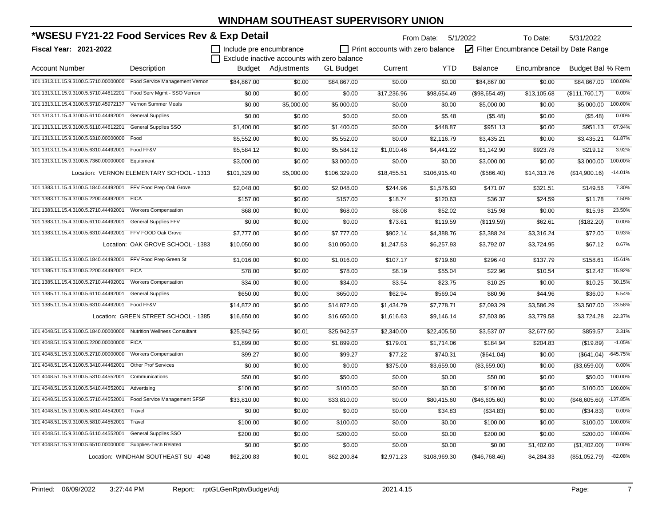| *WSESU FY21-22 Food Services Rev & Exp Detail                        |                                           |                         |                                             |                  |                                  | From Date: 5/1/2022 |                                         | To Date:<br>5/31/2022 |                  |            |  |
|----------------------------------------------------------------------|-------------------------------------------|-------------------------|---------------------------------------------|------------------|----------------------------------|---------------------|-----------------------------------------|-----------------------|------------------|------------|--|
| <b>Fiscal Year: 2021-2022</b>                                        |                                           | Include pre encumbrance |                                             |                  | Print accounts with zero balance |                     | Filter Encumbrance Detail by Date Range |                       |                  |            |  |
|                                                                      |                                           |                         | Exclude inactive accounts with zero balance |                  |                                  |                     |                                         |                       |                  |            |  |
| <b>Account Number</b>                                                | Description                               |                         | Budget Adjustments                          | <b>GL</b> Budget | Current                          | <b>YTD</b>          | <b>Balance</b>                          | Encumbrance           | Budget Bal % Rem |            |  |
| 101.1313.11.15.9.3100.5.5710.00000000 Food Service Management Vernon |                                           | \$84,867.00             | \$0.00                                      | \$84,867.00      | \$0.00                           | \$0.00              | \$84,867.00                             | \$0.00                | \$84,867.00      | 100.00%    |  |
| 101.1313.11.15.9.3100.5.5710.44612201                                | Food Serv Mgmt - SSO Vernon               | \$0.00                  | \$0.00                                      | \$0.00           | \$17,236.96                      | \$98,654.49         | (\$98,654.49)                           | \$13,105.68           | (\$111,760.17)   | 0.00%      |  |
| 101.1313.11.15.4.3100.5.5710.45972137                                | Vernon Summer Meals                       | \$0.00                  | \$5,000.00                                  | \$5,000.00       | \$0.00                           | \$0.00              | \$5,000.00                              | \$0.00                | \$5,000.00       | 100.00%    |  |
| 101.1313.11.15.4.3100.5.6110.44492001                                | <b>General Supplies</b>                   | \$0.00                  | \$0.00                                      | \$0.00           | \$0.00                           | \$5.48              | (\$5.48)                                | \$0.00                | (\$5.48)         | 0.00%      |  |
| 101.1313.11.15.9.3100.5.6110.44612201                                | <b>General Supplies SSO</b>               | \$1,400.00              | \$0.00                                      | \$1,400.00       | \$0.00                           | \$448.87            | \$951.13                                | \$0.00                | \$951.13         | 67.94%     |  |
| 101.1313.11.15.9.3100.5.6310.00000000                                | Food                                      | \$5,552.00              | \$0.00                                      | \$5,552.00       | \$0.00                           | \$2,116.79          | \$3,435.21                              | \$0.00                | \$3,435.21       | 61.87%     |  |
| 101.1313.11.15.4.3100.5.6310.44492001                                | Food FF&V                                 | \$5,584.12              | \$0.00                                      | \$5,584.12       | \$1,010.46                       | \$4,441.22          | \$1,142.90                              | \$923.78              | \$219.12         | 3.92%      |  |
| 101.1313.11.15.9.3100.5.7360.00000000 Equipment                      |                                           | \$3,000.00              | \$0.00                                      | \$3,000.00       | \$0.00                           | \$0.00              | \$3,000.00                              | \$0.00                | \$3,000.00       | 100.00%    |  |
|                                                                      | Location: VERNON ELEMENTARY SCHOOL - 1313 | \$101,329.00            | \$5,000.00                                  | \$106,329.00     | \$18,455.51                      | \$106,915.40        | (\$586.40)                              | \$14,313.76           | (\$14,900.16)    | $-14.01%$  |  |
| 101.1383.11.15.4.3100.5.1840.44492001 FFV Food Prep Oak Grove        |                                           | \$2,048.00              | \$0.00                                      | \$2,048.00       | \$244.96                         | \$1,576.93          | \$471.07                                | \$321.51              | \$149.56         | 7.30%      |  |
| 101.1383.11.15.4.3100.5.2200.44492001 FICA                           |                                           | \$157.00                | \$0.00                                      | \$157.00         | \$18.74                          | \$120.63            | \$36.37                                 | \$24.59               | \$11.78          | 7.50%      |  |
| 101.1383.11.15.4.3100.5.2710.44492001                                | <b>Workers Compensation</b>               | \$68.00                 | \$0.00                                      | \$68.00          | \$8.08                           | \$52.02             | \$15.98                                 | \$0.00                | \$15.98          | 23.50%     |  |
| 101.1383.11.15.4.3100.5.6110.44492001                                | <b>General Supplies FFV</b>               | \$0.00                  | \$0.00                                      | \$0.00           | \$73.61                          | \$119.59            | (\$119.59)                              | \$62.61               | (\$182.20)       | 0.00%      |  |
| 101.1383.11.15.4.3100.5.6310.44492001                                | FFV FOOD Oak Grove                        | \$7,777.00              | \$0.00                                      | \$7,777.00       | \$902.14                         | \$4,388.76          | \$3,388.24                              | \$3,316.24            | \$72.00          | 0.93%      |  |
|                                                                      | Location: OAK GROVE SCHOOL - 1383         | \$10,050.00             | \$0.00                                      | \$10,050.00      | \$1,247.53                       | \$6,257.93          | \$3,792.07                              | \$3,724.95            | \$67.12          | 0.67%      |  |
| 101.1385.11.15.4.3100.5.1840.44492001                                | FFV Food Prep Green St                    | \$1,016.00              | \$0.00                                      | \$1,016.00       | \$107.17                         | \$719.60            | \$296.40                                | \$137.79              | \$158.61         | 15.61%     |  |
| 101.1385.11.15.4.3100.5.2200.44492001                                | <b>FICA</b>                               | \$78.00                 | \$0.00                                      | \$78.00          | \$8.19                           | \$55.04             | \$22.96                                 | \$10.54               | \$12.42          | 15.92%     |  |
| 101.1385.11.15.4.3100.5.2710.44492001                                | <b>Workers Compensation</b>               | \$34.00                 | \$0.00                                      | \$34.00          | \$3.54                           | \$23.75             | \$10.25                                 | \$0.00                | \$10.25          | 30.15%     |  |
| 101.1385.11.15.4.3100.5.6110.44492001                                | <b>General Supplies</b>                   | \$650.00                | \$0.00                                      | \$650.00         | \$62.94                          | \$569.04            | \$80.96                                 | \$44.96               | \$36.00          | 5.54%      |  |
| 101.1385.11.15.4.3100.5.6310.44492001 Food FF&V                      |                                           | \$14,872.00             | \$0.00                                      | \$14,872.00      | \$1,434.79                       | \$7,778.71          | \$7,093.29                              | \$3,586.29            | \$3,507.00       | 23.58%     |  |
|                                                                      | Location: GREEN STREET SCHOOL - 1385      | \$16,650.00             | \$0.00                                      | \$16,650.00      | \$1,616.63                       | \$9,146.14          | \$7,503.86                              | \$3,779.58            | \$3,724.28       | 22.37%     |  |
| 101.4048.51.15.9.3100.5.1840.00000000 Nutrition Wellness Consultant  |                                           | \$25,942.56             | \$0.01                                      | \$25,942.57      | \$2,340.00                       | \$22,405.50         | \$3,537.07                              | \$2,677.50            | \$859.57         | 3.31%      |  |
| 101.4048.51.15.9.3100.5.2200.00000000 FICA                           |                                           | \$1,899.00              | \$0.00                                      | \$1,899.00       | \$179.01                         | \$1,714.06          | \$184.94                                | \$204.83              | (\$19.89)        | $-1.05%$   |  |
| 101.4048.51.15.9.3100.5.2710.00000000                                | <b>Workers Compensation</b>               | \$99.27                 | \$0.00                                      | \$99.27          | \$77.22                          | \$740.31            | (\$641.04)                              | \$0.00                | (\$641.04)       | $-645.75%$ |  |
| 101.4048.51.15.4.3100.5.3410.44462001                                | <b>Other Prof Services</b>                | \$0.00                  | \$0.00                                      | \$0.00           | \$375.00                         | \$3,659.00          | (\$3,659.00)                            | \$0.00                | (\$3,659.00)     | 0.00%      |  |
| 101.4048.51.15.9.3100.5.5310.44552001                                | Communications                            | \$50.00                 | \$0.00                                      | \$50.00          | \$0.00                           | \$0.00              | \$50.00                                 | \$0.00                | \$50.00          | 100.00%    |  |
| 101.4048.51.15.9.3100.5.5410.44552001                                | Advertising                               | \$100.00                | \$0.00                                      | \$100.00         | \$0.00                           | \$0.00              | \$100.00                                | \$0.00                | \$100.00         | 100.00%    |  |
| 101.4048.51.15.9.3100.5.5710.44552001 Food Service Management SFSP   |                                           | \$33,810.00             | \$0.00                                      | \$33,810.00      | \$0.00                           | \$80,415.60         | (\$46,605.60)                           | \$0.00                | (\$46,605.60)    | $-137.85%$ |  |
| 101.4048.51.15.9.3100.5.5810.44542001                                | Travel                                    | \$0.00                  | \$0.00                                      | \$0.00           | \$0.00                           | \$34.83             | (\$34.83)                               | \$0.00                | (\$34.83)        | 0.00%      |  |
| 101.4048.51.15.9.3100.5.5810.44552001                                | Travel                                    | \$100.00                | \$0.00                                      | \$100.00         | \$0.00                           | \$0.00              | \$100.00                                | \$0.00                | \$100.00         | 100.00%    |  |
| 101.4048.51.15.9.3100.5.6110.44552001                                | <b>General Supplies SSO</b>               | \$200.00                | \$0.00                                      | \$200.00         | \$0.00                           | \$0.00              | \$200.00                                | \$0.00                | \$200.00         | 100.00%    |  |
| 101.4048.51.15.9.3100.5.6510.00000000 Supplies-Tech Related          |                                           | \$0.00                  | \$0.00                                      | \$0.00           | \$0.00                           | \$0.00              | \$0.00                                  | \$1,402.00            | (\$1,402.00)     | 0.00%      |  |
|                                                                      | Location: WINDHAM SOUTHEAST SU - 4048     | \$62,200.83             | \$0.01                                      | \$62,200.84      | \$2,971.23                       | \$108,969.30        | (\$46,768.46)                           | \$4,284.33            | (\$51,052.79)    | $-82.08%$  |  |